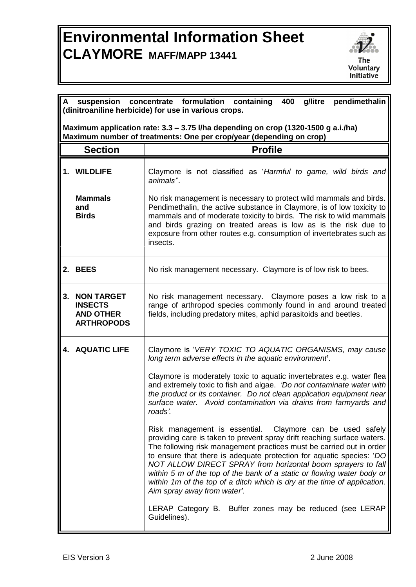## **Environmental Information Sheet CLAYMORE MAFF/MAPP 13441**



|                | pendimethalin<br>$\mathsf{A}$<br>suspension<br>concentrate formulation<br>containing<br>400<br>g/litre<br>(dinitroaniline herbicide) for use in various crops. |                                                                                                                                                                                                                                                                                                                                                                                                                                                                                                                                           |  |  |
|----------------|----------------------------------------------------------------------------------------------------------------------------------------------------------------|-------------------------------------------------------------------------------------------------------------------------------------------------------------------------------------------------------------------------------------------------------------------------------------------------------------------------------------------------------------------------------------------------------------------------------------------------------------------------------------------------------------------------------------------|--|--|
|                |                                                                                                                                                                |                                                                                                                                                                                                                                                                                                                                                                                                                                                                                                                                           |  |  |
|                | Maximum application rate: 3.3 - 3.75 I/ha depending on crop (1320-1500 g a.i./ha)<br>Maximum number of treatments: One per crop/year (depending on crop)       |                                                                                                                                                                                                                                                                                                                                                                                                                                                                                                                                           |  |  |
| <b>Section</b> |                                                                                                                                                                | <b>Profile</b>                                                                                                                                                                                                                                                                                                                                                                                                                                                                                                                            |  |  |
|                | 1. WILDLIFE                                                                                                                                                    | Claymore is not classified as 'Harmful to game, wild birds and<br>animals".                                                                                                                                                                                                                                                                                                                                                                                                                                                               |  |  |
|                | <b>Mammals</b><br>and<br><b>Birds</b>                                                                                                                          | No risk management is necessary to protect wild mammals and birds.<br>Pendimethalin, the active substance in Claymore, is of low toxicity to<br>mammals and of moderate toxicity to birds. The risk to wild mammals<br>and birds grazing on treated areas is low as is the risk due to<br>exposure from other routes e.g. consumption of invertebrates such as<br>insects.                                                                                                                                                                |  |  |
|                | 2. BEES                                                                                                                                                        | No risk management necessary. Claymore is of low risk to bees.                                                                                                                                                                                                                                                                                                                                                                                                                                                                            |  |  |
| 3.             | <b>NON TARGET</b><br><b>INSECTS</b><br><b>AND OTHER</b><br><b>ARTHROPODS</b>                                                                                   | No risk management necessary. Claymore poses a low risk to a<br>range of arthropod species commonly found in and around treated<br>fields, including predatory mites, aphid parasitoids and beetles.                                                                                                                                                                                                                                                                                                                                      |  |  |
|                | <b>4. AQUATIC LIFE</b>                                                                                                                                         | Claymore is 'VERY TOXIC TO AQUATIC ORGANISMS, may cause<br>long term adverse effects in the aquatic environment.                                                                                                                                                                                                                                                                                                                                                                                                                          |  |  |
|                |                                                                                                                                                                | Claymore is moderately toxic to aquatic invertebrates e.g. water flea<br>and extremely toxic to fish and algae. 'Do not contaminate water with<br>the product or its container. Do not clean application equipment near<br>surface water. Avoid contamination via drains from farmyards and<br>roads'.                                                                                                                                                                                                                                    |  |  |
|                |                                                                                                                                                                | Risk management is essential. Claymore can be used safely<br>providing care is taken to prevent spray drift reaching surface waters.<br>The following risk management practices must be carried out in order<br>to ensure that there is adequate protection for aquatic species: 'DO<br>NOT ALLOW DIRECT SPRAY from horizontal boom sprayers to fall<br>within 5 m of the top of the bank of a static or flowing water body or<br>within 1m of the top of a ditch which is dry at the time of application.<br>Aim spray away from water'. |  |  |
|                |                                                                                                                                                                | LERAP Category B. Buffer zones may be reduced (see LERAP<br>Guidelines).                                                                                                                                                                                                                                                                                                                                                                                                                                                                  |  |  |